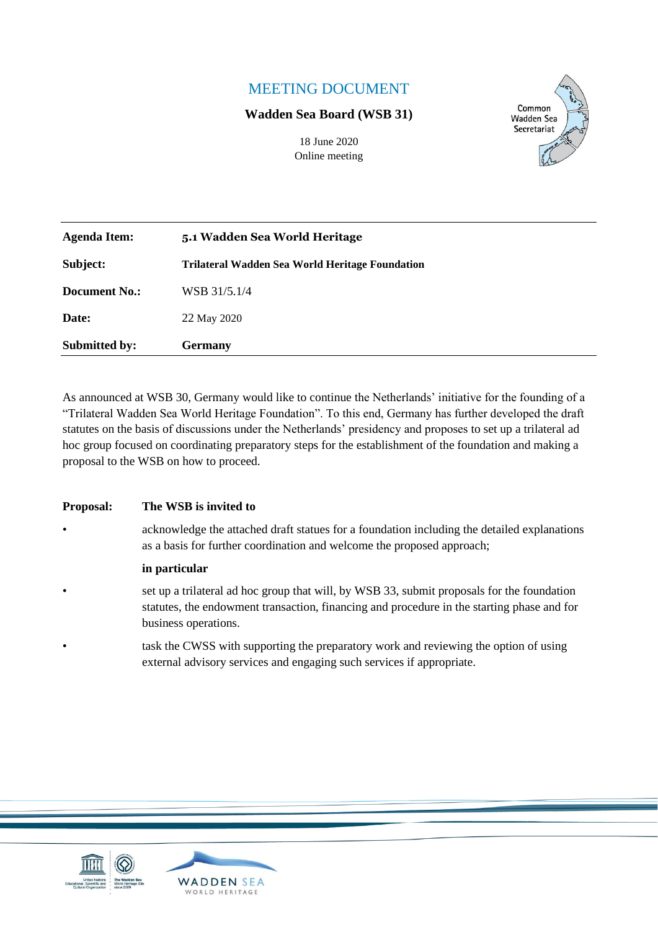# MEETING DOCUMENT

#### **Wadden Sea Board (WSB 31)**

18 June 2020 Online meeting



| <b>Agenda Item:</b>  | 5.1 Wadden Sea World Heritage                          |
|----------------------|--------------------------------------------------------|
| Subject:             | <b>Trilateral Wadden Sea World Heritage Foundation</b> |
| <b>Document No.:</b> | WSB 31/5.1/4                                           |
| Date:                | 22 May 2020                                            |
| <b>Submitted by:</b> | <b>Germany</b>                                         |

As announced at WSB 30, Germany would like to continue the Netherlands' initiative for the founding of a "Trilateral Wadden Sea World Heritage Foundation". To this end, Germany has further developed the draft statutes on the basis of discussions under the Netherlands' presidency and proposes to set up a trilateral ad hoc group focused on coordinating preparatory steps for the establishment of the foundation and making a proposal to the WSB on how to proceed.

#### **Proposal: The WSB is invited to**

• acknowledge the attached draft statues for a foundation including the detailed explanations as a basis for further coordination and welcome the proposed approach;

#### **in particular**

- set up a trilateral ad hoc group that will, by WSB 33, submit proposals for the foundation statutes, the endowment transaction, financing and procedure in the starting phase and for business operations.
	- task the CWSS with supporting the preparatory work and reviewing the option of using external advisory services and engaging such services if appropriate.



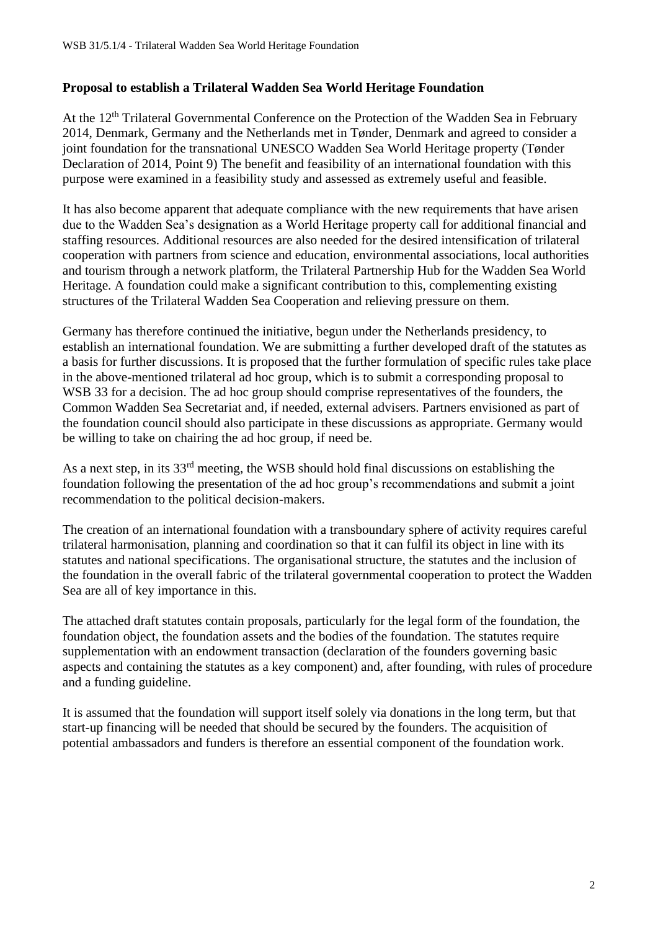#### **Proposal to establish a Trilateral Wadden Sea World Heritage Foundation**

At the 12<sup>th</sup> Trilateral Governmental Conference on the Protection of the Wadden Sea in February 2014, Denmark, Germany and the Netherlands met in Tønder, Denmark and agreed to consider a joint foundation for the transnational UNESCO Wadden Sea World Heritage property (Tønder Declaration of 2014, Point 9) The benefit and feasibility of an international foundation with this purpose were examined in a feasibility study and assessed as extremely useful and feasible.

It has also become apparent that adequate compliance with the new requirements that have arisen due to the Wadden Sea's designation as a World Heritage property call for additional financial and staffing resources. Additional resources are also needed for the desired intensification of trilateral cooperation with partners from science and education, environmental associations, local authorities and tourism through a network platform, the Trilateral Partnership Hub for the Wadden Sea World Heritage. A foundation could make a significant contribution to this, complementing existing structures of the Trilateral Wadden Sea Cooperation and relieving pressure on them.

Germany has therefore continued the initiative, begun under the Netherlands presidency, to establish an international foundation. We are submitting a further developed draft of the statutes as a basis for further discussions. It is proposed that the further formulation of specific rules take place in the above-mentioned trilateral ad hoc group, which is to submit a corresponding proposal to WSB 33 for a decision. The ad hoc group should comprise representatives of the founders, the Common Wadden Sea Secretariat and, if needed, external advisers. Partners envisioned as part of the foundation council should also participate in these discussions as appropriate. Germany would be willing to take on chairing the ad hoc group, if need be.

As a next step, in its 33rd meeting, the WSB should hold final discussions on establishing the foundation following the presentation of the ad hoc group's recommendations and submit a joint recommendation to the political decision-makers.

The creation of an international foundation with a transboundary sphere of activity requires careful trilateral harmonisation, planning and coordination so that it can fulfil its object in line with its statutes and national specifications. The organisational structure, the statutes and the inclusion of the foundation in the overall fabric of the trilateral governmental cooperation to protect the Wadden Sea are all of key importance in this.

The attached draft statutes contain proposals, particularly for the legal form of the foundation, the foundation object, the foundation assets and the bodies of the foundation. The statutes require supplementation with an endowment transaction (declaration of the founders governing basic aspects and containing the statutes as a key component) and, after founding, with rules of procedure and a funding guideline.

It is assumed that the foundation will support itself solely via donations in the long term, but that start-up financing will be needed that should be secured by the founders. The acquisition of potential ambassadors and funders is therefore an essential component of the foundation work.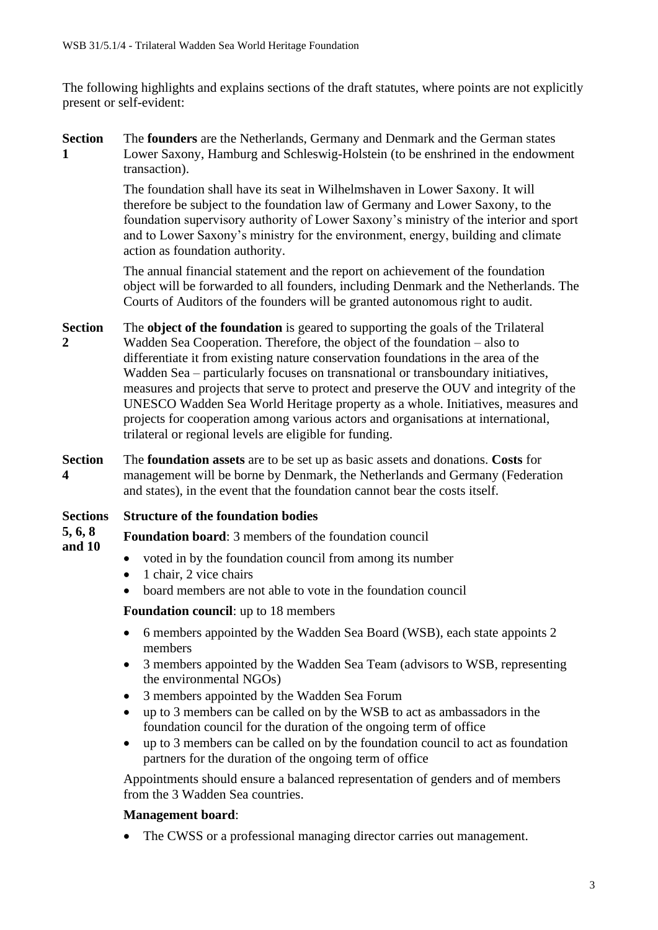The following highlights and explains sections of the draft statutes, where points are not explicitly present or self-evident:

**Section 1** The **founders** are the Netherlands, Germany and Denmark and the German states Lower Saxony, Hamburg and Schleswig-Holstein (to be enshrined in the endowment transaction).

> The foundation shall have its seat in Wilhelmshaven in Lower Saxony. It will therefore be subject to the foundation law of Germany and Lower Saxony, to the foundation supervisory authority of Lower Saxony's ministry of the interior and sport and to Lower Saxony's ministry for the environment, energy, building and climate action as foundation authority.

> The annual financial statement and the report on achievement of the foundation object will be forwarded to all founders, including Denmark and the Netherlands. The Courts of Auditors of the founders will be granted autonomous right to audit.

- **Section 2** The **object of the foundation** is geared to supporting the goals of the Trilateral Wadden Sea Cooperation. Therefore, the object of the foundation – also to differentiate it from existing nature conservation foundations in the area of the Wadden Sea – particularly focuses on transnational or transboundary initiatives, measures and projects that serve to protect and preserve the OUV and integrity of the UNESCO Wadden Sea World Heritage property as a whole. Initiatives, measures and projects for cooperation among various actors and organisations at international, trilateral or regional levels are eligible for funding.
- **Section 4** The **foundation assets** are to be set up as basic assets and donations. **Costs** for management will be borne by Denmark, the Netherlands and Germany (Federation and states), in the event that the foundation cannot bear the costs itself.
- **Sections Structure of the foundation bodies**

**5, 6, 8 and 10 Foundation board**: 3 members of the foundation council

- voted in by the foundation council from among its number
- 1 chair, 2 vice chairs
- board members are not able to vote in the foundation council

#### **Foundation council**: up to 18 members

- 6 members appointed by the Wadden Sea Board (WSB), each state appoints 2 members
- 3 members appointed by the Wadden Sea Team (advisors to WSB, representing the environmental NGOs)
- 3 members appointed by the Wadden Sea Forum
- up to 3 members can be called on by the WSB to act as ambassadors in the foundation council for the duration of the ongoing term of office
- up to 3 members can be called on by the foundation council to act as foundation partners for the duration of the ongoing term of office

Appointments should ensure a balanced representation of genders and of members from the 3 Wadden Sea countries.

#### **Management board**:

• The CWSS or a professional managing director carries out management.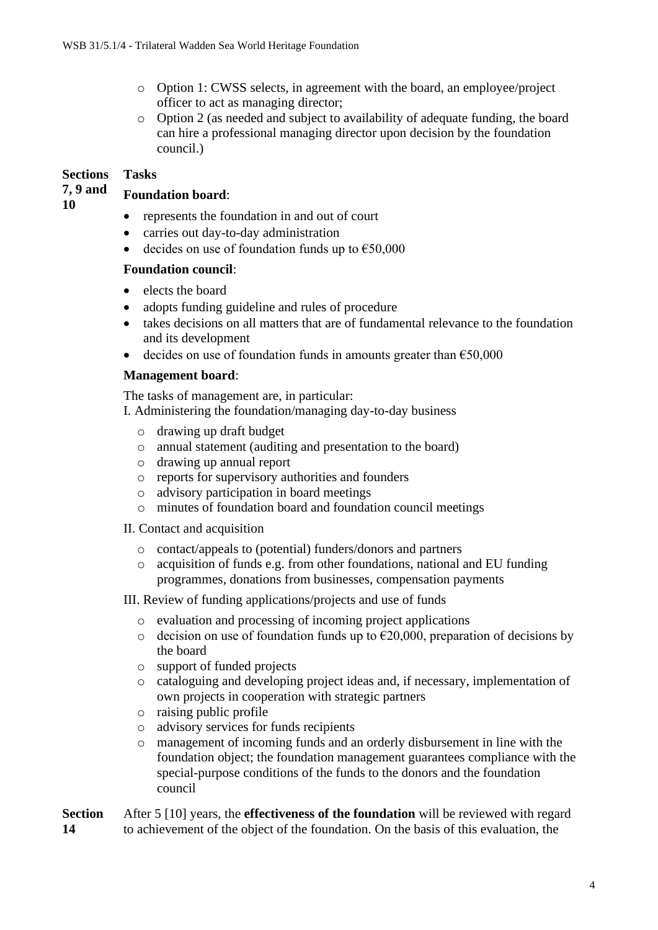- o Option 1: CWSS selects, in agreement with the board, an employee/project officer to act as managing director;
- o Option 2 (as needed and subject to availability of adequate funding, the board can hire a professional managing director upon decision by the foundation council.)

#### **Sections Tasks**

#### **7, 9 and Foundation board**:

**10**

#### • represents the foundation in and out of court

- carries out day-to-day administration
- decides on use of foundation funds up to  $\epsilon$ 50,000

#### **Foundation council**:

- elects the board
- adopts funding guideline and rules of procedure
- takes decisions on all matters that are of fundamental relevance to the foundation and its development
- decides on use of foundation funds in amounts greater than  $\epsilon$ 50,000

#### **Management board**:

The tasks of management are, in particular:

I. Administering the foundation/managing day-to-day business

- o drawing up draft budget
- o annual statement (auditing and presentation to the board)
- o drawing up annual report
- o reports for supervisory authorities and founders
- o advisory participation in board meetings
- o minutes of foundation board and foundation council meetings

#### II. Contact and acquisition

- o contact/appeals to (potential) funders/donors and partners
- o acquisition of funds e.g. from other foundations, national and EU funding programmes, donations from businesses, compensation payments

III. Review of funding applications/projects and use of funds

- o evaluation and processing of incoming project applications
- o decision on use of foundation funds up to  $\epsilon$ 20,000, preparation of decisions by the board
- o support of funded projects
- o cataloguing and developing project ideas and, if necessary, implementation of own projects in cooperation with strategic partners
- o raising public profile
- o advisory services for funds recipients
- o management of incoming funds and an orderly disbursement in line with the foundation object; the foundation management guarantees compliance with the special-purpose conditions of the funds to the donors and the foundation council

**Section 14** After 5 [10] years, the **effectiveness of the foundation** will be reviewed with regard to achievement of the object of the foundation. On the basis of this evaluation, the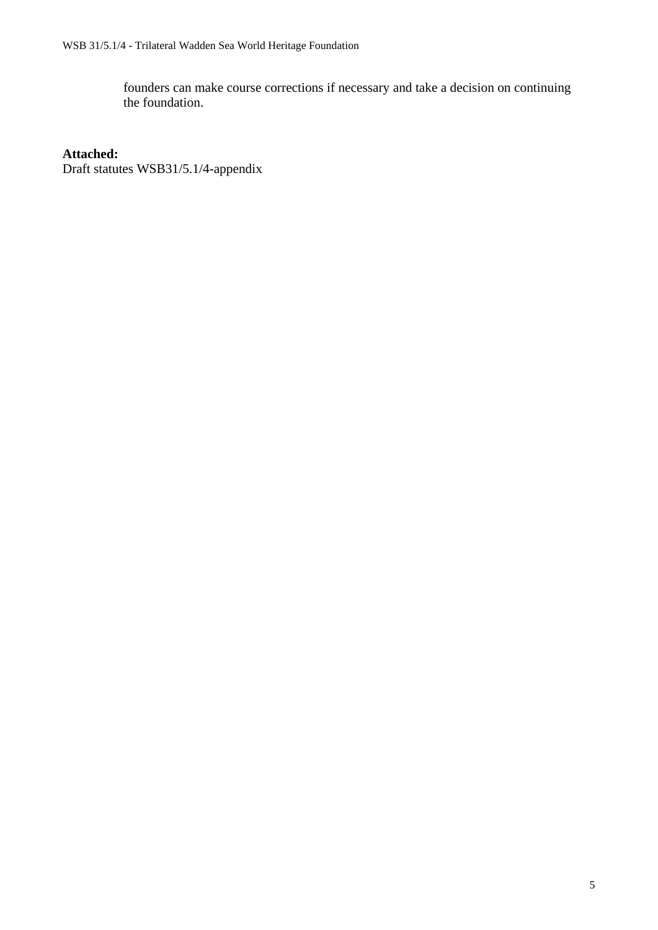founders can make course corrections if necessary and take a decision on continuing the foundation.

#### **Attached:**

Draft statutes WSB31/5.1/4-appendix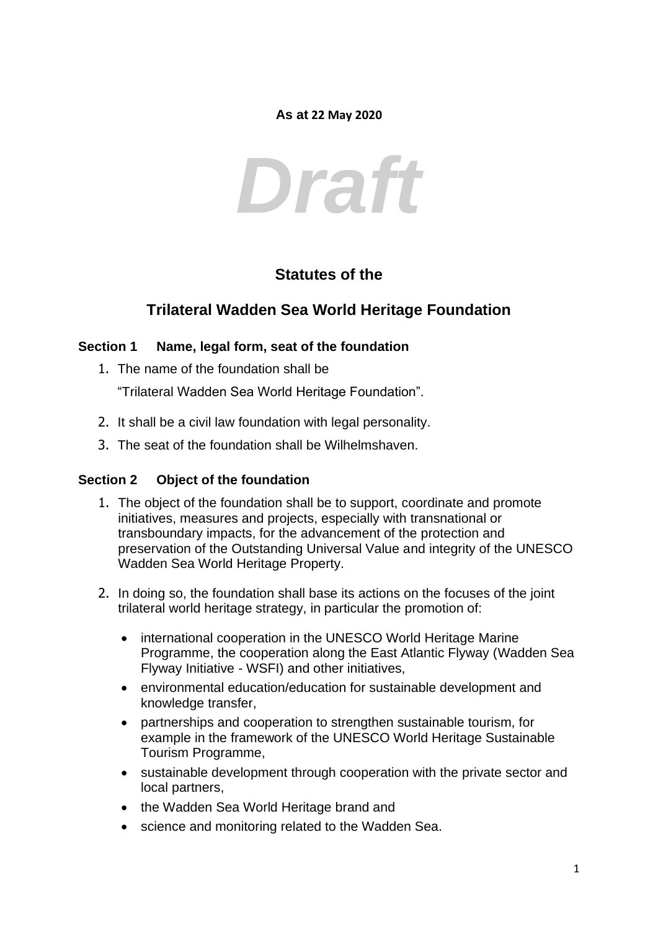#### **As at 22 May 2020**

# *Draft*

# **Statutes of the**

# **Trilateral Wadden Sea World Heritage Foundation**

#### **Section 1 Name, legal form, seat of the foundation**

1. The name of the foundation shall be

"Trilateral Wadden Sea World Heritage Foundation".

- 2. It shall be a civil law foundation with legal personality.
- 3. The seat of the foundation shall be Wilhelmshaven.

#### **Section 2 Object of the foundation**

- 1. The object of the foundation shall be to support, coordinate and promote initiatives, measures and projects, especially with transnational or transboundary impacts, for the advancement of the protection and preservation of the Outstanding Universal Value and integrity of the UNESCO Wadden Sea World Heritage Property.
- 2. In doing so, the foundation shall base its actions on the focuses of the joint trilateral world heritage strategy, in particular the promotion of:
	- international cooperation in the UNESCO World Heritage Marine Programme, the cooperation along the East Atlantic Flyway (Wadden Sea Flyway Initiative - WSFI) and other initiatives,
	- environmental education/education for sustainable development and knowledge transfer,
	- partnerships and cooperation to strengthen sustainable tourism, for example in the framework of the UNESCO World Heritage Sustainable Tourism Programme,
	- sustainable development through cooperation with the private sector and local partners,
	- the Wadden Sea World Heritage brand and
	- science and monitoring related to the Wadden Sea.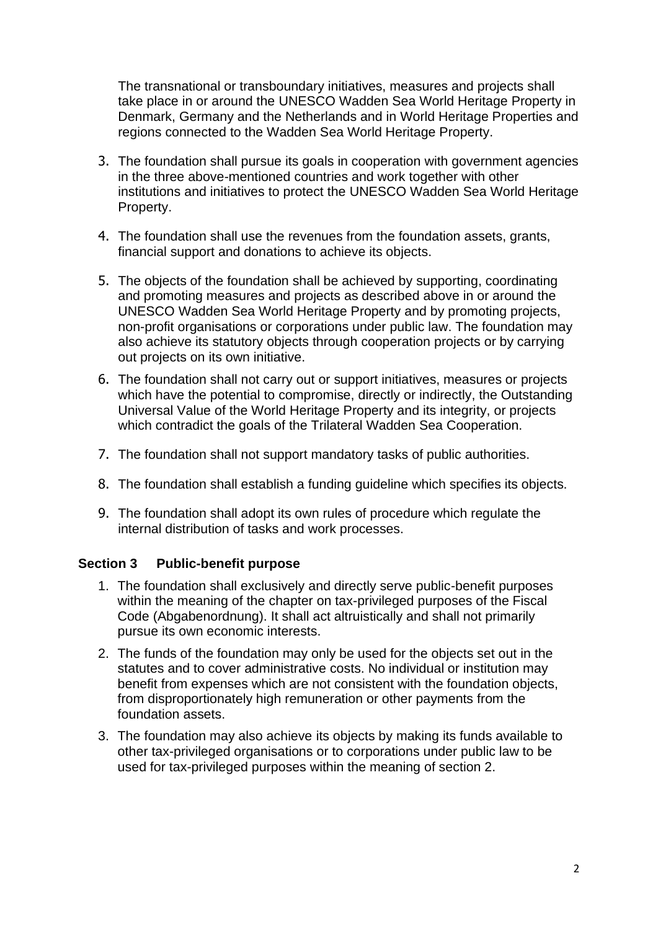The transnational or transboundary initiatives, measures and projects shall take place in or around the UNESCO Wadden Sea World Heritage Property in Denmark, Germany and the Netherlands and in World Heritage Properties and regions connected to the Wadden Sea World Heritage Property.

- 3. The foundation shall pursue its goals in cooperation with government agencies in the three above-mentioned countries and work together with other institutions and initiatives to protect the UNESCO Wadden Sea World Heritage Property.
- 4. The foundation shall use the revenues from the foundation assets, grants, financial support and donations to achieve its objects.
- 5. The objects of the foundation shall be achieved by supporting, coordinating and promoting measures and projects as described above in or around the UNESCO Wadden Sea World Heritage Property and by promoting projects, non-profit organisations or corporations under public law. The foundation may also achieve its statutory objects through cooperation projects or by carrying out projects on its own initiative.
- 6. The foundation shall not carry out or support initiatives, measures or projects which have the potential to compromise, directly or indirectly, the Outstanding Universal Value of the World Heritage Property and its integrity, or projects which contradict the goals of the Trilateral Wadden Sea Cooperation.
- 7. The foundation shall not support mandatory tasks of public authorities.
- 8. The foundation shall establish a funding guideline which specifies its objects.
- 9. The foundation shall adopt its own rules of procedure which regulate the internal distribution of tasks and work processes.

#### **Section 3 Public-benefit purpose**

- 1. The foundation shall exclusively and directly serve public-benefit purposes within the meaning of the chapter on tax-privileged purposes of the Fiscal Code (Abgabenordnung). It shall act altruistically and shall not primarily pursue its own economic interests.
- 2. The funds of the foundation may only be used for the objects set out in the statutes and to cover administrative costs. No individual or institution may benefit from expenses which are not consistent with the foundation objects, from disproportionately high remuneration or other payments from the foundation assets.
- 3. The foundation may also achieve its objects by making its funds available to other tax-privileged organisations or to corporations under public law to be used for tax-privileged purposes within the meaning of section 2.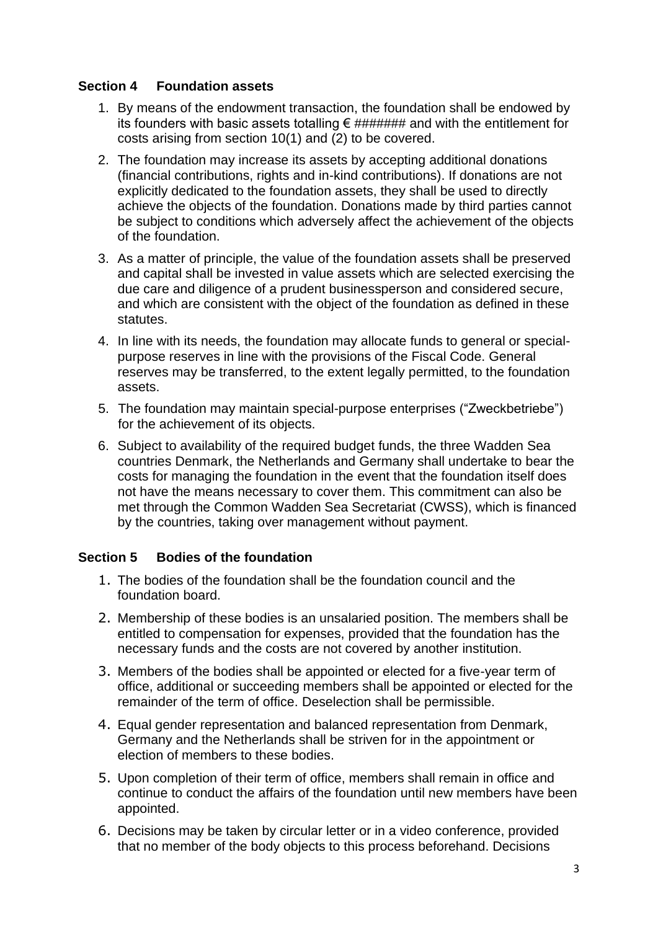#### **Section 4 Foundation assets**

- 1. By means of the endowment transaction, the foundation shall be endowed by its founders with basic assets totalling €  $\# \# \# \# \# \#$  and with the entitlement for costs arising from section 10(1) and (2) to be covered.
- 2. The foundation may increase its assets by accepting additional donations (financial contributions, rights and in-kind contributions). If donations are not explicitly dedicated to the foundation assets, they shall be used to directly achieve the objects of the foundation. Donations made by third parties cannot be subject to conditions which adversely affect the achievement of the objects of the foundation.
- 3. As a matter of principle, the value of the foundation assets shall be preserved and capital shall be invested in value assets which are selected exercising the due care and diligence of a prudent businessperson and considered secure, and which are consistent with the object of the foundation as defined in these statutes.
- 4. In line with its needs, the foundation may allocate funds to general or specialpurpose reserves in line with the provisions of the Fiscal Code. General reserves may be transferred, to the extent legally permitted, to the foundation assets.
- 5. The foundation may maintain special-purpose enterprises ("Zweckbetriebe") for the achievement of its objects.
- 6. Subject to availability of the required budget funds, the three Wadden Sea countries Denmark, the Netherlands and Germany shall undertake to bear the costs for managing the foundation in the event that the foundation itself does not have the means necessary to cover them. This commitment can also be met through the Common Wadden Sea Secretariat (CWSS), which is financed by the countries, taking over management without payment.

#### **Section 5 Bodies of the foundation**

- 1. The bodies of the foundation shall be the foundation council and the foundation board.
- 2. Membership of these bodies is an unsalaried position. The members shall be entitled to compensation for expenses, provided that the foundation has the necessary funds and the costs are not covered by another institution.
- 3. Members of the bodies shall be appointed or elected for a five-year term of office, additional or succeeding members shall be appointed or elected for the remainder of the term of office. Deselection shall be permissible.
- 4. Equal gender representation and balanced representation from Denmark, Germany and the Netherlands shall be striven for in the appointment or election of members to these bodies.
- 5. Upon completion of their term of office, members shall remain in office and continue to conduct the affairs of the foundation until new members have been appointed.
- 6. Decisions may be taken by circular letter or in a video conference, provided that no member of the body objects to this process beforehand. Decisions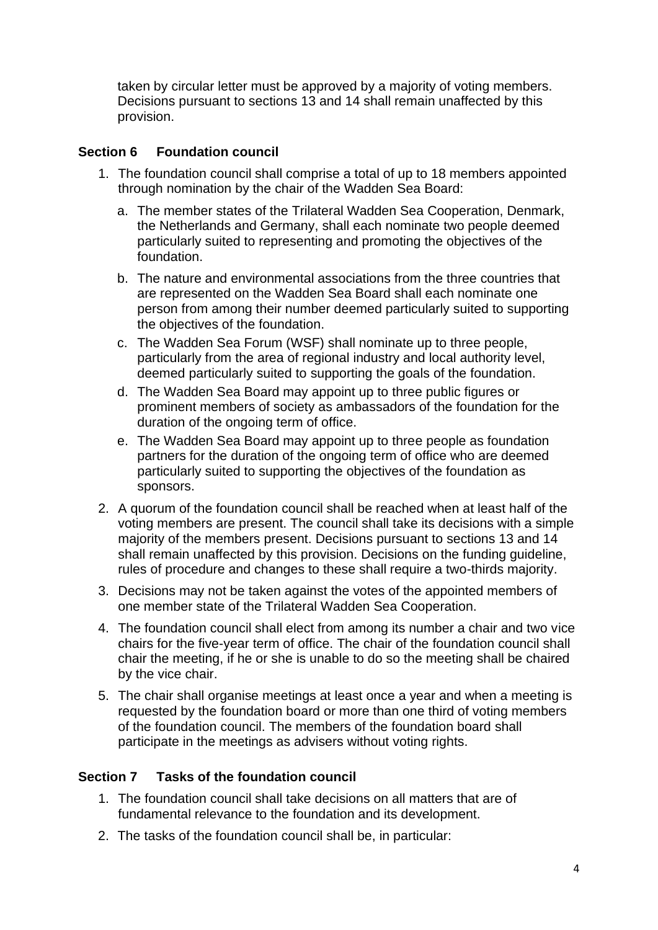taken by circular letter must be approved by a majority of voting members. Decisions pursuant to sections 13 and 14 shall remain unaffected by this provision.

# **Section 6 Foundation council**

- 1. The foundation council shall comprise a total of up to 18 members appointed through nomination by the chair of the Wadden Sea Board:
	- a. The member states of the Trilateral Wadden Sea Cooperation, Denmark, the Netherlands and Germany, shall each nominate two people deemed particularly suited to representing and promoting the objectives of the foundation.
	- b. The nature and environmental associations from the three countries that are represented on the Wadden Sea Board shall each nominate one person from among their number deemed particularly suited to supporting the objectives of the foundation.
	- c. The Wadden Sea Forum (WSF) shall nominate up to three people, particularly from the area of regional industry and local authority level, deemed particularly suited to supporting the goals of the foundation.
	- d. The Wadden Sea Board may appoint up to three public figures or prominent members of society as ambassadors of the foundation for the duration of the ongoing term of office.
	- e. The Wadden Sea Board may appoint up to three people as foundation partners for the duration of the ongoing term of office who are deemed particularly suited to supporting the objectives of the foundation as sponsors.
- 2. A quorum of the foundation council shall be reached when at least half of the voting members are present. The council shall take its decisions with a simple majority of the members present. Decisions pursuant to sections 13 and 14 shall remain unaffected by this provision. Decisions on the funding guideline, rules of procedure and changes to these shall require a two-thirds majority.
- 3. Decisions may not be taken against the votes of the appointed members of one member state of the Trilateral Wadden Sea Cooperation.
- 4. The foundation council shall elect from among its number a chair and two vice chairs for the five-year term of office. The chair of the foundation council shall chair the meeting, if he or she is unable to do so the meeting shall be chaired by the vice chair.
- 5. The chair shall organise meetings at least once a year and when a meeting is requested by the foundation board or more than one third of voting members of the foundation council. The members of the foundation board shall participate in the meetings as advisers without voting rights.

## **Section 7 Tasks of the foundation council**

- 1. The foundation council shall take decisions on all matters that are of fundamental relevance to the foundation and its development.
- 2. The tasks of the foundation council shall be, in particular: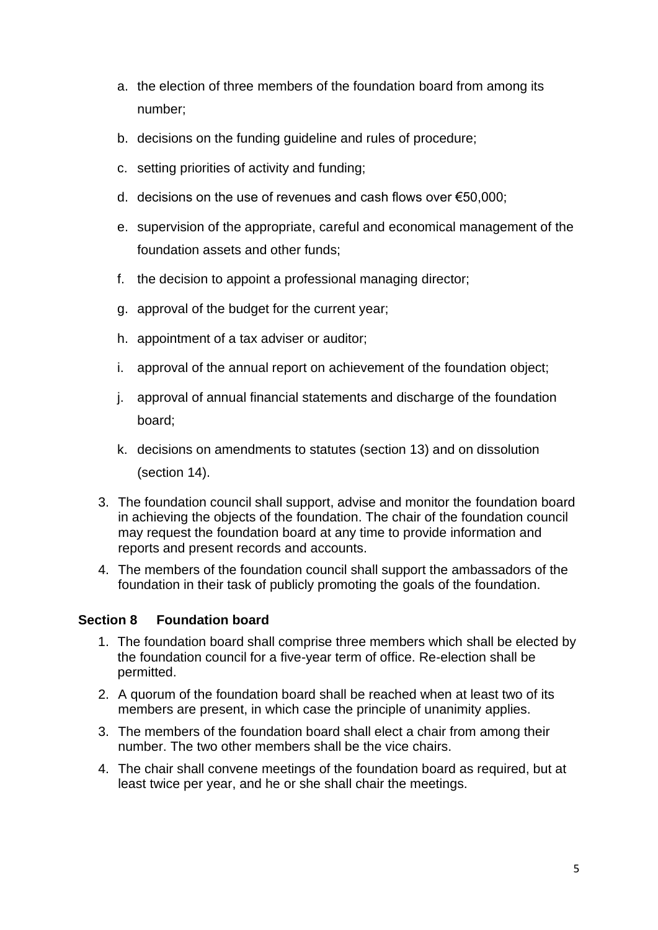- a. the election of three members of the foundation board from among its number;
- b. decisions on the funding guideline and rules of procedure;
- c. setting priorities of activity and funding;
- d. decisions on the use of revenues and cash flows over €50,000;
- e. supervision of the appropriate, careful and economical management of the foundation assets and other funds;
- f. the decision to appoint a professional managing director;
- g. approval of the budget for the current year;
- h. appointment of a tax adviser or auditor;
- i. approval of the annual report on achievement of the foundation object;
- j. approval of annual financial statements and discharge of the foundation board;
- k. decisions on amendments to statutes (section 13) and on dissolution (section 14).
- 3. The foundation council shall support, advise and monitor the foundation board in achieving the objects of the foundation. The chair of the foundation council may request the foundation board at any time to provide information and reports and present records and accounts.
- 4. The members of the foundation council shall support the ambassadors of the foundation in their task of publicly promoting the goals of the foundation.

# **Section 8 Foundation board**

- 1. The foundation board shall comprise three members which shall be elected by the foundation council for a five-year term of office. Re-election shall be permitted.
- 2. A quorum of the foundation board shall be reached when at least two of its members are present, in which case the principle of unanimity applies.
- 3. The members of the foundation board shall elect a chair from among their number. The two other members shall be the vice chairs.
- 4. The chair shall convene meetings of the foundation board as required, but at least twice per year, and he or she shall chair the meetings.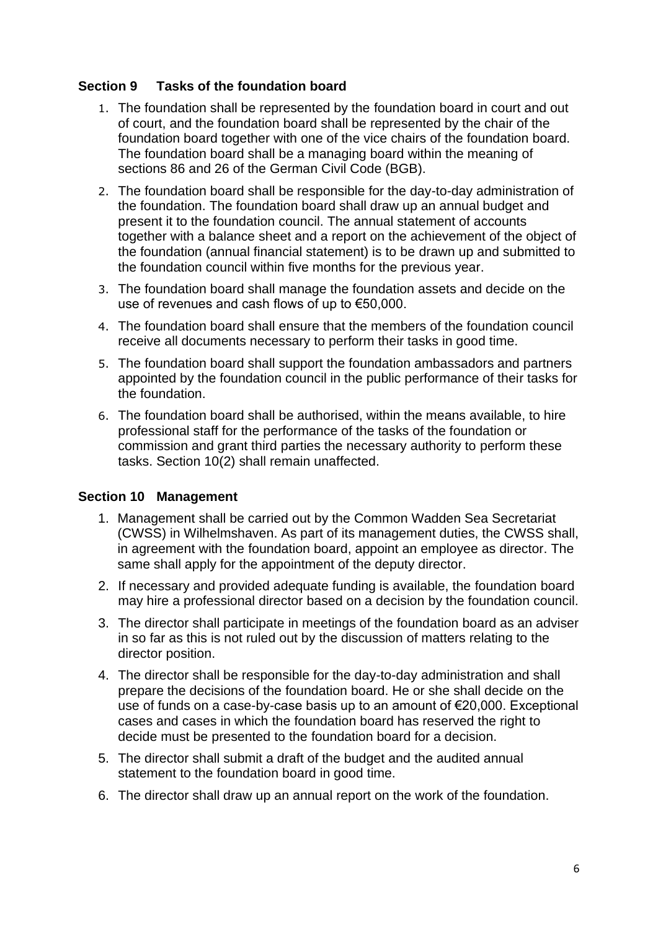## **Section 9 Tasks of the foundation board**

- 1. The foundation shall be represented by the foundation board in court and out of court, and the foundation board shall be represented by the chair of the foundation board together with one of the vice chairs of the foundation board. The foundation board shall be a managing board within the meaning of sections 86 and 26 of the German Civil Code (BGB).
- 2. The foundation board shall be responsible for the day-to-day administration of the foundation. The foundation board shall draw up an annual budget and present it to the foundation council. The annual statement of accounts together with a balance sheet and a report on the achievement of the object of the foundation (annual financial statement) is to be drawn up and submitted to the foundation council within five months for the previous year.
- 3. The foundation board shall manage the foundation assets and decide on the use of revenues and cash flows of up to €50,000.
- 4. The foundation board shall ensure that the members of the foundation council receive all documents necessary to perform their tasks in good time.
- 5. The foundation board shall support the foundation ambassadors and partners appointed by the foundation council in the public performance of their tasks for the foundation.
- 6. The foundation board shall be authorised, within the means available, to hire professional staff for the performance of the tasks of the foundation or commission and grant third parties the necessary authority to perform these tasks. Section 10(2) shall remain unaffected.

## **Section 10 Management**

- 1. Management shall be carried out by the Common Wadden Sea Secretariat (CWSS) in Wilhelmshaven. As part of its management duties, the CWSS shall, in agreement with the foundation board, appoint an employee as director. The same shall apply for the appointment of the deputy director.
- 2. If necessary and provided adequate funding is available, the foundation board may hire a professional director based on a decision by the foundation council.
- 3. The director shall participate in meetings of the foundation board as an adviser in so far as this is not ruled out by the discussion of matters relating to the director position.
- 4. The director shall be responsible for the day-to-day administration and shall prepare the decisions of the foundation board. He or she shall decide on the use of funds on a case-by-case basis up to an amount of €20,000. Exceptional cases and cases in which the foundation board has reserved the right to decide must be presented to the foundation board for a decision.
- 5. The director shall submit a draft of the budget and the audited annual statement to the foundation board in good time.
- 6. The director shall draw up an annual report on the work of the foundation.